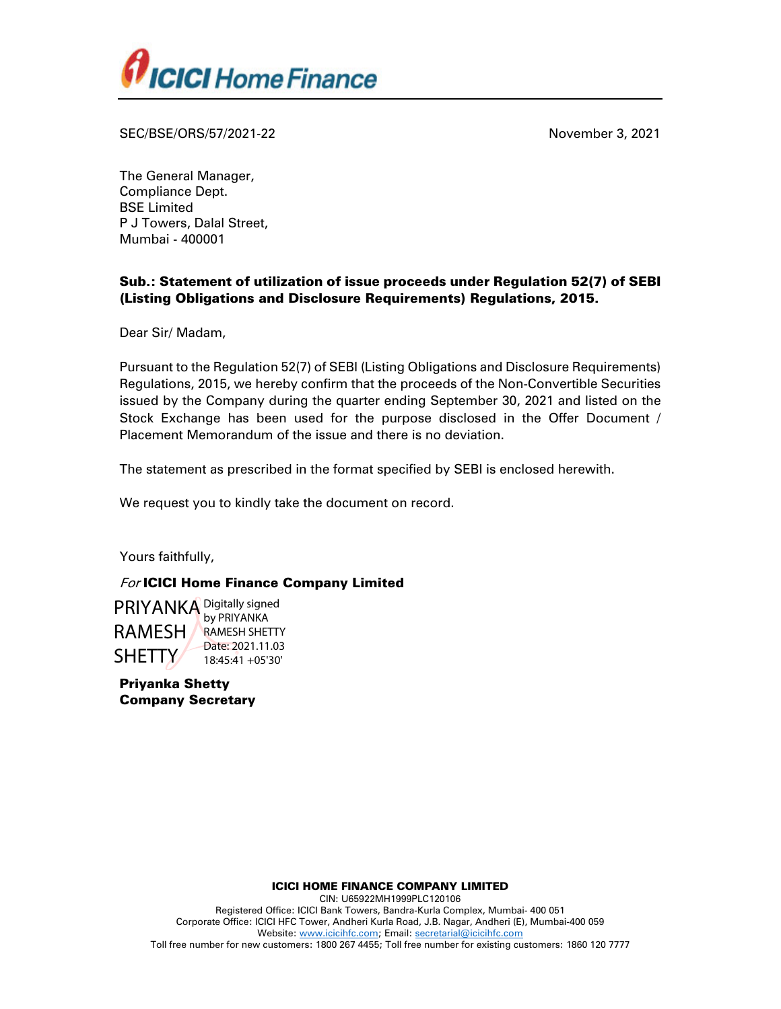

SEC/BSE/ORS/57/2021-22 November 3, 2021

The General Manager, Compliance Dept. BSE Limited P J Towers, Dalal Street, Mumbai - 400001

## Sub.: Statement of utilization of issue proceeds under Regulation 52(7) of SEBI (Listing Obligations and Disclosure Requirements) Regulations, 2015.

Dear Sir/ Madam,

Pursuant to the Regulation 52(7) of SEBI (Listing Obligations and Disclosure Requirements) Regulations, 2015, we hereby confirm that the proceeds of the Non-Convertible Securities issued by the Company during the quarter ending September 30, 2021 and listed on the Stock Exchange has been used for the purpose disclosed in the Offer Document / Placement Memorandum of the issue and there is no deviation.

The statement as prescribed in the format specified by SEBI is enclosed herewith.

We request you to kindly take the document on record.

Yours faithfully,

## For ICICI Home Finance Company Limited

PRIYANKA Digitally signed RAMESH SHETTY by PRIYANKA RAMESH SHETTY Date: 2021.11.03 18:45:41 +05'30'

Priyanka Shetty Company Secretary

ICICI HOME FINANCE COMPANY LIMITED

CIN: U65922MH1999PLC120106 Registered Office: ICICI Bank Towers, Bandra-Kurla Complex, Mumbai- 400 051 Corporate Office: ICICI HFC Tower, Andheri Kurla Road, J.B. Nagar, Andheri (E), Mumbai-400 059 Website: www.icicihfc.com; Email: secretarial@icicihfc.com

Toll free number for new customers: 1800 267 4455; Toll free number for existing customers: 1860 120 7777